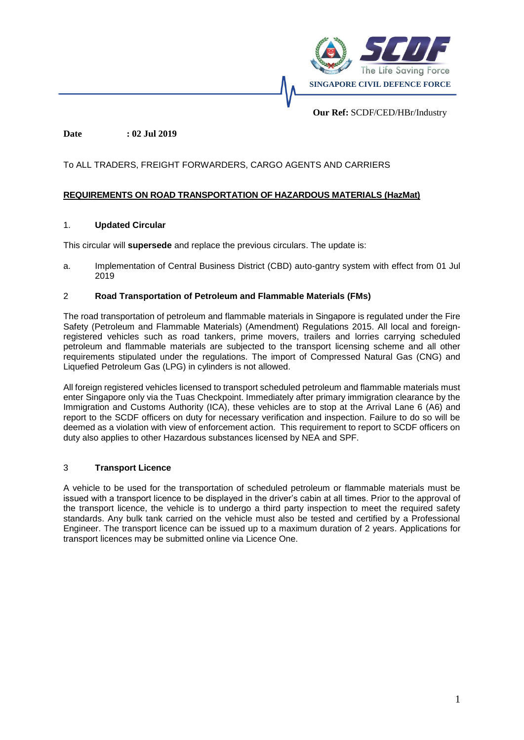

**Our Ref:** SCDF/CED/HBr/Industry

### **Date : 02 Jul 2019**

### To ALL TRADERS, FREIGHT FORWARDERS, CARGO AGENTS AND CARRIERS

### **REQUIREMENTS ON ROAD TRANSPORTATION OF HAZARDOUS MATERIALS (HazMat)**

#### 1. **Updated Circular**

This circular will **supersede** and replace the previous circulars. The update is:

a. Implementation of Central Business District (CBD) auto-gantry system with effect from 01 Jul 2019

### 2 **Road Transportation of Petroleum and Flammable Materials (FMs)**

The road transportation of petroleum and flammable materials in Singapore is regulated under the Fire Safety (Petroleum and Flammable Materials) (Amendment) Regulations 2015. All local and foreignregistered vehicles such as road tankers, prime movers, trailers and lorries carrying scheduled petroleum and flammable materials are subjected to the transport licensing scheme and all other requirements stipulated under the regulations. The import of Compressed Natural Gas (CNG) and Liquefied Petroleum Gas (LPG) in cylinders is not allowed.

All foreign registered vehicles licensed to transport scheduled petroleum and flammable materials must enter Singapore only via the Tuas Checkpoint. Immediately after primary immigration clearance by the Immigration and Customs Authority (ICA), these vehicles are to stop at the Arrival Lane 6 (A6) and report to the SCDF officers on duty for necessary verification and inspection. Failure to do so will be deemed as a violation with view of enforcement action. This requirement to report to SCDF officers on duty also applies to other Hazardous substances licensed by NEA and SPF.

### 3 **Transport Licence**

A vehicle to be used for the transportation of scheduled petroleum or flammable materials must be issued with a transport licence to be displayed in the driver's cabin at all times. Prior to the approval of the transport licence, the vehicle is to undergo a third party inspection to meet the required safety standards. Any bulk tank carried on the vehicle must also be tested and certified by a Professional Engineer. The transport licence can be issued up to a maximum duration of 2 years. Applications for transport licences may be submitted online via Licence One.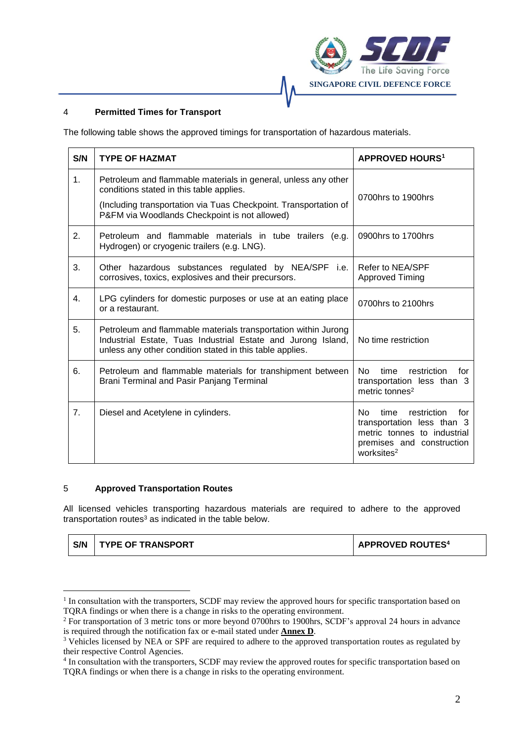

### 4 **Permitted Times for Transport**

The following table shows the approved timings for transportation of hazardous materials.

| S/N                                      | <b>TYPE OF HAZMAT</b>                                                                                                                                                                                                           | <b>APPROVED HOURS<sup>1</sup></b>                                                                                                                     |  |  |
|------------------------------------------|---------------------------------------------------------------------------------------------------------------------------------------------------------------------------------------------------------------------------------|-------------------------------------------------------------------------------------------------------------------------------------------------------|--|--|
| 1 <sub>1</sub>                           | Petroleum and flammable materials in general, unless any other<br>conditions stated in this table applies.<br>(Including transportation via Tuas Checkpoint. Transportation of<br>P&FM via Woodlands Checkpoint is not allowed) | 0700hrs to 1900hrs                                                                                                                                    |  |  |
| 2.                                       | Petroleum and flammable materials in tube trailers (e.g.<br>Hydrogen) or cryogenic trailers (e.g. LNG).                                                                                                                         | 0900hrs to 1700hrs                                                                                                                                    |  |  |
| 3.                                       | Other hazardous substances regulated by NEA/SPF i.e.<br>corrosives, toxics, explosives and their precursors.                                                                                                                    | Refer to NEA/SPF<br><b>Approved Timing</b>                                                                                                            |  |  |
| 4.                                       | LPG cylinders for domestic purposes or use at an eating place<br>or a restaurant.                                                                                                                                               | 0700hrs to 2100hrs                                                                                                                                    |  |  |
| 5.                                       | Petroleum and flammable materials transportation within Jurong<br>Industrial Estate, Tuas Industrial Estate and Jurong Island,<br>unless any other condition stated in this table applies.                                      | No time restriction                                                                                                                                   |  |  |
| 6.                                       | No.<br>Petroleum and flammable materials for transhipment between<br>time<br>restriction<br>Brani Terminal and Pasir Panjang Terminal<br>transportation less than 3<br>metric tonnes <sup>2</sup>                               |                                                                                                                                                       |  |  |
| 7.<br>Diesel and Acetylene in cylinders. |                                                                                                                                                                                                                                 | No.<br>time<br>restriction<br>for<br>transportation less than 3<br>metric tonnes to industrial<br>premises and construction<br>worksites <sup>2</sup> |  |  |

### 5 **Approved Transportation Routes**

1

All licensed vehicles transporting hazardous materials are required to adhere to the approved transportation routes $3$  as indicated in the table below.

| S/N | <b>TYPE OF TRANSPORT</b> | <b>APPROVED ROUTES4</b> |
|-----|--------------------------|-------------------------|
|-----|--------------------------|-------------------------|

<sup>&</sup>lt;sup>1</sup> In consultation with the transporters, SCDF may review the approved hours for specific transportation based on TQRA findings or when there is a change in risks to the operating environment.

<sup>&</sup>lt;sup>2</sup> For transportation of 3 metric tons or more beyond 0700hrs to 1900hrs, SCDF's approval 24 hours in advance is required through the notification fax or e-mail stated under **Annex D**.

<sup>&</sup>lt;sup>3</sup> Vehicles licensed by NEA or SPF are required to adhere to the approved transportation routes as regulated by their respective Control Agencies.

<sup>4</sup> In consultation with the transporters, SCDF may review the approved routes for specific transportation based on TQRA findings or when there is a change in risks to the operating environment.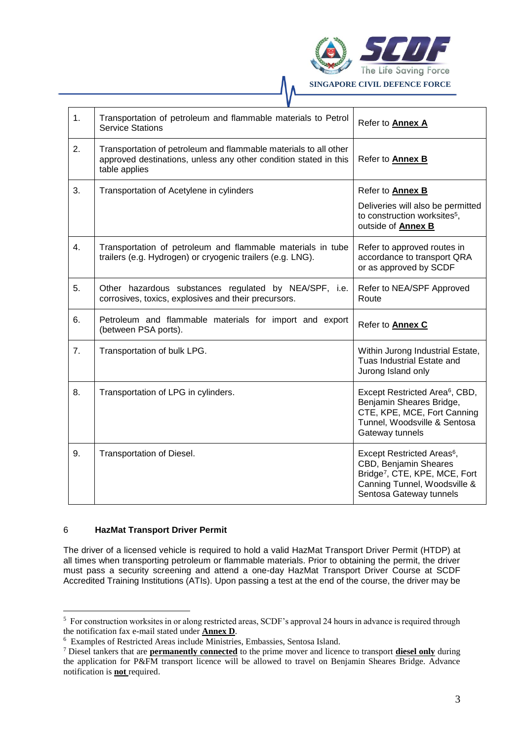

| 1. | Transportation of petroleum and flammable materials to Petrol<br><b>Service Stations</b>                                                              | Refer to <b>Annex A</b>                                                                                                                                                 |  |  |
|----|-------------------------------------------------------------------------------------------------------------------------------------------------------|-------------------------------------------------------------------------------------------------------------------------------------------------------------------------|--|--|
| 2. | Transportation of petroleum and flammable materials to all other<br>approved destinations, unless any other condition stated in this<br>table applies | Refer to Annex B                                                                                                                                                        |  |  |
| 3. | Transportation of Acetylene in cylinders                                                                                                              | Refer to Annex B<br>Deliveries will also be permitted<br>to construction worksites <sup>5</sup> ,<br>outside of Annex B                                                 |  |  |
| 4. | Transportation of petroleum and flammable materials in tube<br>trailers (e.g. Hydrogen) or cryogenic trailers (e.g. LNG).                             | Refer to approved routes in<br>accordance to transport QRA<br>or as approved by SCDF                                                                                    |  |  |
| 5. | Other hazardous substances regulated by NEA/SPF, i.e.<br>corrosives, toxics, explosives and their precursors.                                         | Refer to NEA/SPF Approved<br>Route                                                                                                                                      |  |  |
| 6. | Petroleum and flammable materials for import and export<br>(between PSA ports).                                                                       | Refer to <b>Annex C</b>                                                                                                                                                 |  |  |
| 7. | Transportation of bulk LPG.                                                                                                                           | Within Jurong Industrial Estate,<br>Tuas Industrial Estate and<br>Jurong Island only                                                                                    |  |  |
| 8. | Transportation of LPG in cylinders.                                                                                                                   | Except Restricted Area <sup>6</sup> , CBD,<br>Benjamin Sheares Bridge,<br>CTE, KPE, MCE, Fort Canning<br>Tunnel, Woodsville & Sentosa<br>Gateway tunnels                |  |  |
| 9. | Transportation of Diesel.                                                                                                                             | Except Restricted Areas <sup>6</sup> ,<br>CBD, Benjamin Sheares<br>Bridge <sup>7</sup> , CTE, KPE, MCE, Fort<br>Canning Tunnel, Woodsville &<br>Sentosa Gateway tunnels |  |  |

### 6 **HazMat Transport Driver Permit**

1

The driver of a licensed vehicle is required to hold a valid HazMat Transport Driver Permit (HTDP) at all times when transporting petroleum or flammable materials. Prior to obtaining the permit, the driver must pass a security screening and attend a one-day HazMat Transport Driver Course at SCDF Accredited Training Institutions (ATIs). Upon passing a test at the end of the course, the driver may be

<sup>5</sup> For construction worksites in or along restricted areas, SCDF's approval 24 hours in advance is required through the notification fax e-mail stated under **Annex D**.

<sup>6</sup> Examples of Restricted Areas include Ministries, Embassies, Sentosa Island.

<sup>7</sup> Diesel tankers that are **permanently connected** to the prime mover and licence to transport **diesel only** during the application for P&FM transport licence will be allowed to travel on Benjamin Sheares Bridge. Advance notification is **not** required.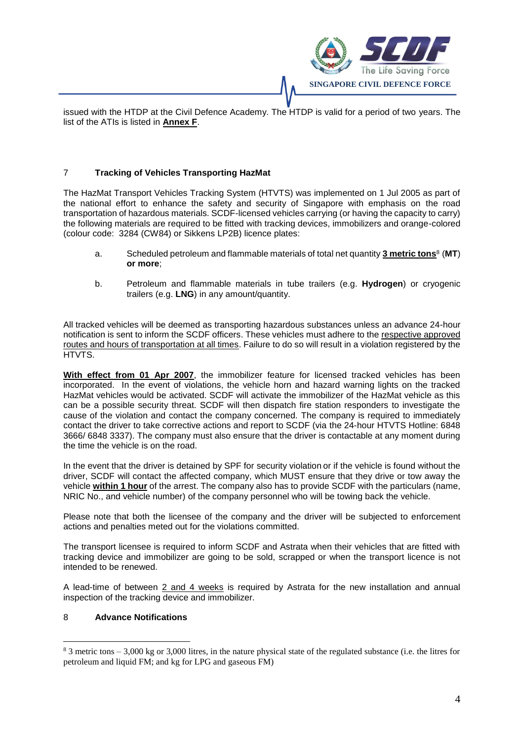

issued with the HTDP at the Civil Defence Academy. The HTDP is valid for a period of two years. The list of the ATIs is listed in **Annex F**.

### 7 **Tracking of Vehicles Transporting HazMat**

The HazMat Transport Vehicles Tracking System (HTVTS) was implemented on 1 Jul 2005 as part of the national effort to enhance the safety and security of Singapore with emphasis on the road transportation of hazardous materials. SCDF-licensed vehicles carrying (or having the capacity to carry) the following materials are required to be fitted with tracking devices, immobilizers and orange-colored (colour code: 3284 (CW84) or Sikkens LP2B) licence plates:

- a. Scheduled petroleum and flammable materials of total net quantity **3 metric tons** 8 (**MT**) **or more**;
- b. Petroleum and flammable materials in tube trailers (e.g. **Hydrogen**) or cryogenic trailers (e.g. **LNG**) in any amount/quantity.

All tracked vehicles will be deemed as transporting hazardous substances unless an advance 24-hour notification is sent to inform the SCDF officers. These vehicles must adhere to the respective approved routes and hours of transportation at all times. Failure to do so will result in a violation registered by the HTVTS.

**With effect from 01 Apr 2007**, the immobilizer feature for licensed tracked vehicles has been incorporated. In the event of violations, the vehicle horn and hazard warning lights on the tracked HazMat vehicles would be activated. SCDF will activate the immobilizer of the HazMat vehicle as this can be a possible security threat. SCDF will then dispatch fire station responders to investigate the cause of the violation and contact the company concerned. The company is required to immediately contact the driver to take corrective actions and report to SCDF (via the 24-hour HTVTS Hotline: 6848 3666/ 6848 3337). The company must also ensure that the driver is contactable at any moment during the time the vehicle is on the road.

In the event that the driver is detained by SPF for security violation or if the vehicle is found without the driver, SCDF will contact the affected company, which MUST ensure that they drive or tow away the vehicle **within 1 hour** of the arrest. The company also has to provide SCDF with the particulars (name, NRIC No., and vehicle number) of the company personnel who will be towing back the vehicle.

Please note that both the licensee of the company and the driver will be subjected to enforcement actions and penalties meted out for the violations committed.

The transport licensee is required to inform SCDF and Astrata when their vehicles that are fitted with tracking device and immobilizer are going to be sold, scrapped or when the transport licence is not intended to be renewed.

A lead-time of between 2 and 4 weeks is required by Astrata for the new installation and annual inspection of the tracking device and immobilizer.

#### 8 **Advance Notifications**

1

 $8$  3 metric tons  $-3,000$  kg or 3,000 litres, in the nature physical state of the regulated substance (i.e. the litres for petroleum and liquid FM; and kg for LPG and gaseous FM)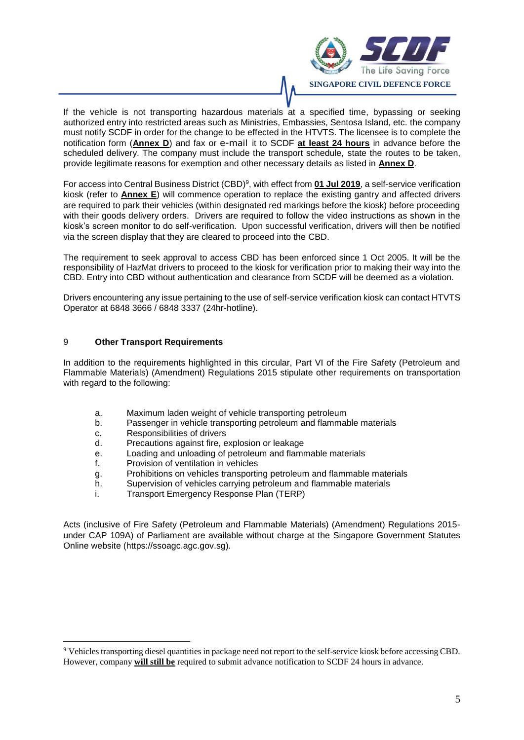

If the vehicle is not transporting hazardous materials at a specified time, bypassing or seeking authorized entry into restricted areas such as Ministries, Embassies, Sentosa Island, etc. the company must notify SCDF in order for the change to be effected in the HTVTS. The licensee is to complete the notification form (**Annex D**) and fax or e-mail it to SCDF **at least 24 hours** in advance before the scheduled delivery. The company must include the transport schedule, state the routes to be taken, provide legitimate reasons for exemption and other necessary details as listed in **Annex D**.

For access into Central Business District (CBD) 9 , with effect from **01 Jul 2019**, a self-service verification kiosk (refer to **Annex E**) will commence operation to replace the existing gantry and affected drivers are required to park their vehicles (within designated red markings before the kiosk) before proceeding with their goods delivery orders. Drivers are required to follow the video instructions as shown in the kiosk's screen monitor to do self-verification. Upon successful verification, drivers will then be notified via the screen display that they are cleared to proceed into the CBD.

The requirement to seek approval to access CBD has been enforced since 1 Oct 2005. It will be the responsibility of HazMat drivers to proceed to the kiosk for verification prior to making their way into the CBD. Entry into CBD without authentication and clearance from SCDF will be deemed as a violation.

Drivers encountering any issue pertaining to the use of self-service verification kiosk can contact HTVTS Operator at 6848 3666 / 6848 3337 (24hr-hotline).

### 9 **Other Transport Requirements**

In addition to the requirements highlighted in this circular, Part VI of the Fire Safety (Petroleum and Flammable Materials) (Amendment) Regulations 2015 stipulate other requirements on transportation with regard to the following:

- a. Maximum laden weight of vehicle transporting petroleum
- b. Passenger in vehicle transporting petroleum and flammable materials
- c. Responsibilities of drivers

1

- d. Precautions against fire, explosion or leakage
- e. Loading and unloading of petroleum and flammable materials
- f. Provision of ventilation in vehicles
- g. Prohibitions on vehicles transporting petroleum and flammable materials
- h. Supervision of vehicles carrying petroleum and flammable materials
- i. Transport Emergency Response Plan (TERP)

Acts (inclusive of Fire Safety (Petroleum and Flammable Materials) (Amendment) Regulations 2015 under CAP 109A) of Parliament are available without charge at the [Singapore Government Statutes](http://statutes.agc.gov.sg/)  [Online website](http://statutes.agc.gov.sg/) (https://ssoagc.agc.gov.sg)*.*

<sup>9</sup> Vehicles transporting diesel quantities in package need not report to the self-service kiosk before accessing CBD. However, company **will still be** required to submit advance notification to SCDF 24 hours in advance.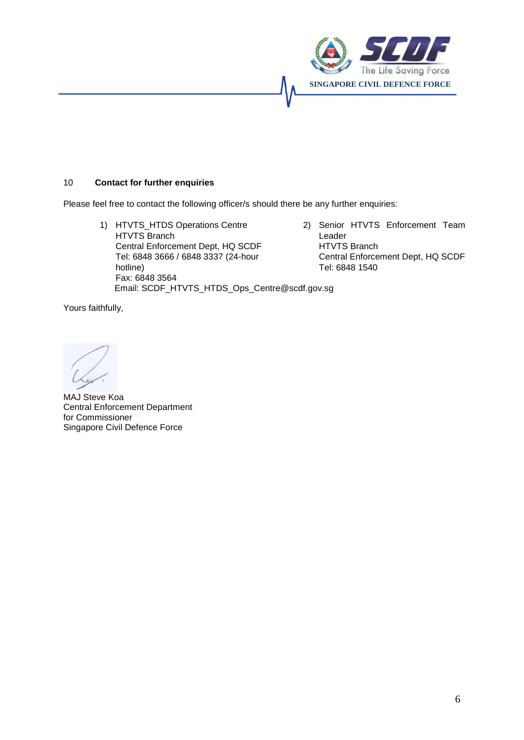

### 10 **Contact for further enquiries**

Please feel free to contact the following officer/s should there be any further enquiries:

- 1) HTVTS\_HTDS Operations Centre HTVTS Branch Central Enforcement Dept, HQ SCDF Tel: 6848 3666 / 6848 3337 (24-hour hotline) Fax: 6848 3564 Email: SCDF\_HTVTS\_HTDS\_Ops\_Centre@scdf.gov.sg
- 2) Senior HTVTS Enforcement Team Leader HTVTS Branch Central Enforcement Dept, HQ SCDF Tel: 6848 1540

Yours faithfully,

MAJ Steve Koa Central Enforcement Department for Commissioner Singapore Civil Defence Force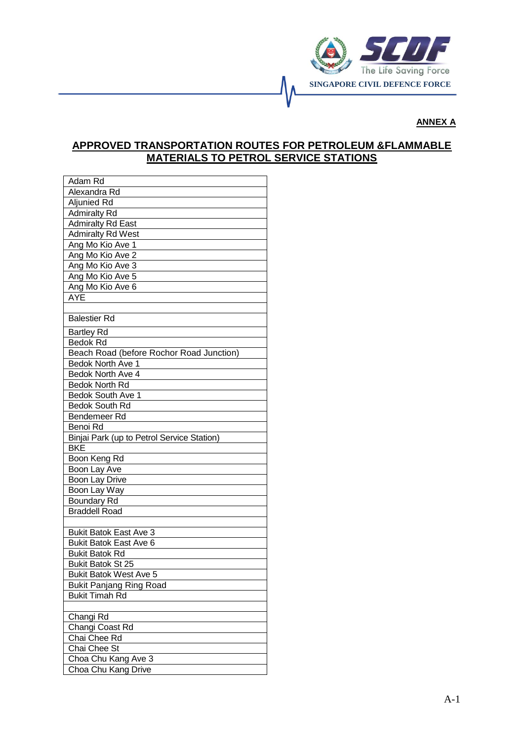

### **ANNEX A**

# **APPROVED TRANSPORTATION ROUTES FOR PETROLEUM &FLAMMABLE MATERIALS TO PETROL SERVICE STATIONS**

| Adam Rd                                                  |
|----------------------------------------------------------|
| Alexandra Rd                                             |
| <b>Aljunied Rd</b>                                       |
| <b>Admiralty Rd</b>                                      |
| <b>Admiralty Rd East</b>                                 |
| <b>Admiralty Rd West</b>                                 |
| Ang Mo Kio Ave 1                                         |
| Ang Mo Kio Ave 2                                         |
| Ang Mo Kio Ave 3                                         |
| Ang Mo Kio Ave 5                                         |
| Ang Mo Kio Ave 6                                         |
| <b>AYE</b>                                               |
|                                                          |
| <b>Balestier Rd</b>                                      |
| <b>Bartley Rd</b>                                        |
| <b>Bedok Rd</b>                                          |
| Beach Road (before Rochor Road Junction)                 |
| Bedok North Ave 1                                        |
| Bedok North Ave 4                                        |
| <b>Bedok North Rd</b>                                    |
| Bedok South Ave 1                                        |
| Bedok South Rd                                           |
| Bendemeer Rd                                             |
| Benoi Rd                                                 |
|                                                          |
| Binjai Park (up to Petrol Service Station)<br><b>BKE</b> |
|                                                          |
| Boon Keng Rd                                             |
| Boon Lay Ave                                             |
| Boon Lay Drive                                           |
| Boon Lay Way                                             |
| <b>Boundary Rd</b>                                       |
| <b>Braddell Road</b>                                     |
|                                                          |
| <b>Bukit Batok East Ave 3</b>                            |
| <b>Bukit Batok East Ave 6</b>                            |
| <b>Bukit Batok Rd</b>                                    |
| <b>Bukit Batok St 25</b>                                 |
| <b>Bukit Batok West Ave 5</b>                            |
| <b>Bukit Panjang Ring Road</b>                           |
| <b>Bukit Timah Rd</b>                                    |
|                                                          |
| Changi Rd                                                |
| Changi Coast Rd                                          |
| Chai Chee Rd                                             |
| Chai Chee St                                             |
| Choa Chu Kang Ave 3                                      |
| Choa Chu Kang Drive                                      |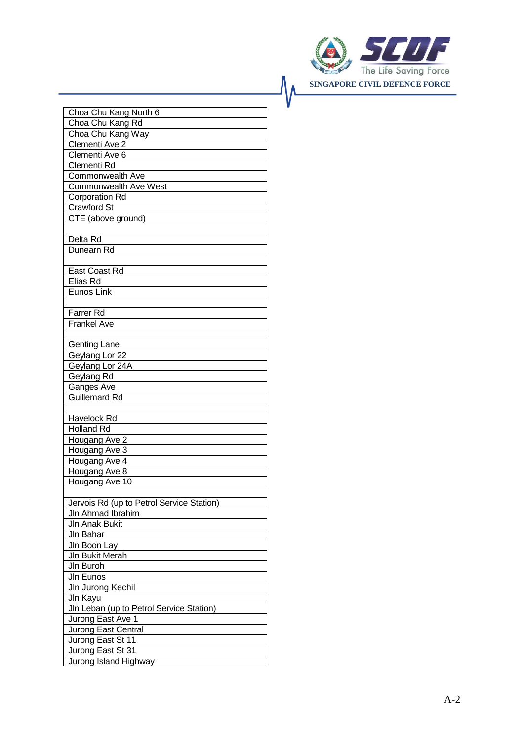

| Choa Chu Kang North 6                     |
|-------------------------------------------|
| Choa Chu Kang Rd                          |
| Choa Chu Kang Way                         |
| Clementi Ave 2                            |
| Clementi Ave 6                            |
| Clementi Rd                               |
| Commonwealth Ave                          |
| <b>Commonwealth Ave West</b>              |
| Corporation Rd                            |
| <b>Crawford St</b>                        |
| CTE (above ground)                        |
|                                           |
| Delta Rd                                  |
| Dunearn Rd                                |
|                                           |
| East Coast Rd                             |
| Elias Rd                                  |
| Eunos Link                                |
|                                           |
| <b>Farrer Rd</b><br><b>Frankel Ave</b>    |
|                                           |
| <b>Genting Lane</b>                       |
| Geylang Lor 22                            |
| Geylang Lor 24A                           |
| Geylang Rd                                |
| Ganges Ave                                |
| <b>Guillemard Rd</b>                      |
|                                           |
| Havelock Rd                               |
| <b>Holland Rd</b>                         |
| Hougang Ave 2                             |
| Hougang Ave 3                             |
| Hougang Ave 4                             |
| Hougang Ave 8                             |
| Hougang Ave 10                            |
|                                           |
| Jervois Rd (up to Petrol Service Station) |
| Jln Ahmad Ibrahim                         |
| <b>JIn Anak Bukit</b>                     |
| Jln Bahar                                 |
| Jln Boon Lay                              |
| Jln Bukit Merah                           |
| JIn Buroh                                 |
| JIn Eunos                                 |
| Jln Jurong Kechil                         |
| Jln Kayu                                  |
| Jln Leban (up to Petrol Service Station)  |
| Jurong East Ave 1                         |
| Jurong East Central                       |
| Jurong East St 11                         |
| Jurong East St 31                         |
| Jurong Island Highway                     |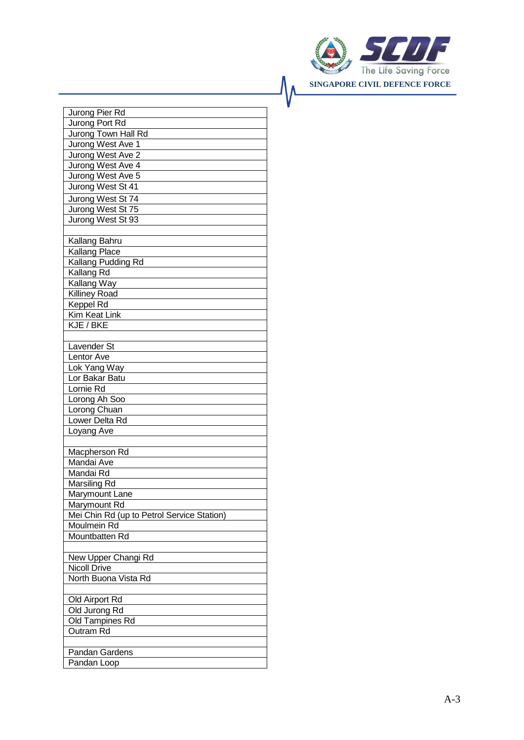

| Jurong Pier Rd                                            |
|-----------------------------------------------------------|
| Jurong Port Rd                                            |
| Jurong Town Hall Rd                                       |
| Jurong West Ave 1                                         |
| Jurong West Ave 2                                         |
| Jurong West Ave 4                                         |
| Jurong West Ave 5                                         |
| Jurong West St 41                                         |
| Jurong West St 74                                         |
| Jurong West St 75                                         |
| Jurong West St 93                                         |
|                                                           |
| Kallang Bahru                                             |
| Kallang Place                                             |
| Kallang Pudding Rd                                        |
| Kallang Rd                                                |
| Kallang Way                                               |
| <b>Killiney Road</b>                                      |
| Keppel Rd                                                 |
| <b>Kim Keat Link</b>                                      |
| KJE / BKE                                                 |
|                                                           |
| Lavender St                                               |
| Lentor Ave                                                |
| Lok Yang Way                                              |
| Lor Bakar Batu                                            |
| Lornie Rd                                                 |
| Lorong Ah Soo                                             |
| Lorong Chuan                                              |
| Lower Delta Rd                                            |
| Loyang Ave                                                |
|                                                           |
| Macpherson Rd                                             |
| Mandai Ave                                                |
| Mandai Rd                                                 |
| Marsiling Rd                                              |
| Marymount Lane                                            |
| Marymount Rd                                              |
| Mei Chin Rd (up to Petrol Service Station)<br>Moulmein Rd |
| Mountbatten Rd                                            |
|                                                           |
| New Upper Changi Rd                                       |
| <b>Nicoll Drive</b>                                       |
| North Buona Vista Rd                                      |
|                                                           |
| Old Airport Rd                                            |
| Old Jurong Rd                                             |
| Old Tampines Rd                                           |
| Outram Rd                                                 |
|                                                           |
| Pandan Gardens                                            |
| Pandan Loop                                               |
|                                                           |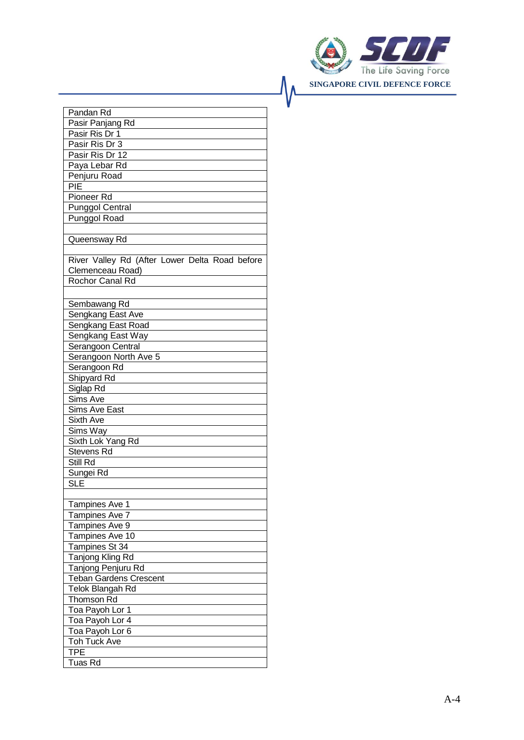

| Pandan Rd                                      |
|------------------------------------------------|
| Pasir Panjang Rd                               |
| Pasir Ris Dr 1                                 |
| Pasir Ris Dr 3                                 |
| Pasir Ris Dr 12                                |
| Paya Lebar Rd                                  |
| Penjuru Road                                   |
| PIE                                            |
| Pioneer Rd                                     |
| <b>Punggol Central</b>                         |
| Punggol Road                                   |
|                                                |
| Queensway Rd                                   |
|                                                |
| River Valley Rd (After Lower Delta Road before |
| Clemenceau Road)                               |
| Rochor Canal Rd                                |
|                                                |
| Sembawang Rd                                   |
| Sengkang East Ave                              |
| Sengkang East Road                             |
| Sengkang East Way                              |
| Serangoon Central                              |
| Serangoon North Ave 5                          |
| Serangoon Rd                                   |
| Shipyard Rd                                    |
| Siglap Rd                                      |
| Sims Ave                                       |
| <b>Sims Ave East</b>                           |
| <b>Sixth Ave</b>                               |
| Sims Way                                       |
| Sixth Lok Yang Rd                              |
| Stevens Rd                                     |
| Still Rd                                       |
| Sungei Rd                                      |
| <b>SLE</b>                                     |
|                                                |
| Tampines Ave 1                                 |
| Tampines Ave 7                                 |
| Tampines Ave 9                                 |
|                                                |
| Tampines Ave 10                                |
| Tampines St 34                                 |
| <b>Tanjong Kling Rd</b>                        |
| Tanjong Penjuru Rd                             |
| <b>Teban Gardens Crescent</b>                  |
| Telok Blangah Rd                               |
| Thomson Rd                                     |
| Toa Payoh Lor 1                                |
| Toa Payoh Lor 4                                |
| Toa Payoh Lor 6                                |
| Toh Tuck Ave                                   |
| <b>TPE</b>                                     |
| Tuas Rd                                        |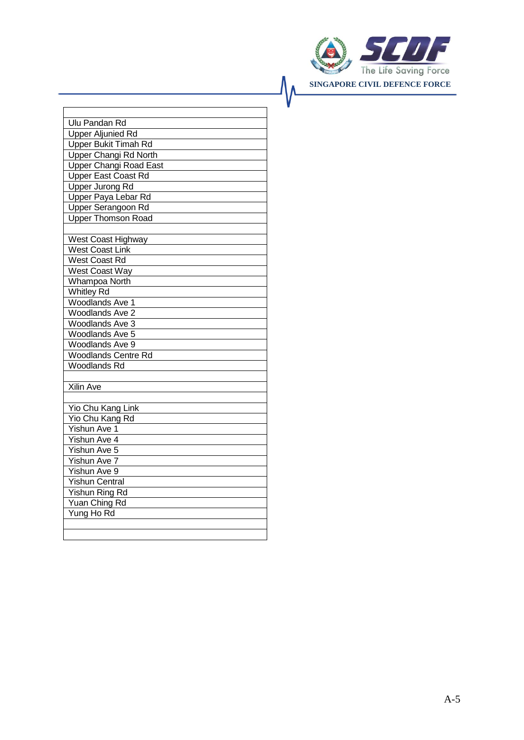

|                             | <b>Ulu Pandan Rd</b>          |  |  |  |
|-----------------------------|-------------------------------|--|--|--|
| <b>Upper Aljunied Rd</b>    |                               |  |  |  |
| <b>Upper Bukit Timah Rd</b> |                               |  |  |  |
|                             | <b>Upper Changi Rd North</b>  |  |  |  |
|                             | <b>Upper Changi Road East</b> |  |  |  |
|                             | Upper East Coast Rd           |  |  |  |
|                             | Upper Jurong Rd               |  |  |  |
|                             | Upper Paya Lebar Rd           |  |  |  |
|                             | Upper Serangoon Rd            |  |  |  |
|                             | <b>Upper Thomson Road</b>     |  |  |  |
|                             |                               |  |  |  |
|                             | West Coast Highway            |  |  |  |
|                             | <b>West Coast Link</b>        |  |  |  |
|                             | West Coast Rd                 |  |  |  |
|                             | <b>West Coast Way</b>         |  |  |  |
|                             | Whampoa North                 |  |  |  |
|                             | <b>Whitley Rd</b>             |  |  |  |
|                             | <b>Woodlands Ave 1</b>        |  |  |  |
|                             | <b>Woodlands Ave 2</b>        |  |  |  |
|                             | Woodlands Ave 3               |  |  |  |
|                             | Woodlands Ave 5               |  |  |  |
|                             | Woodlands Ave 9               |  |  |  |
|                             | <b>Woodlands Centre Rd</b>    |  |  |  |
|                             | <b>Woodlands Rd</b>           |  |  |  |
|                             |                               |  |  |  |
|                             | Xilin Ave                     |  |  |  |
|                             |                               |  |  |  |
|                             | Yio Chu Kang Link             |  |  |  |
|                             | Yio Chu Kang Rd               |  |  |  |
|                             | <b>Yishun Ave 1</b>           |  |  |  |
|                             | Yishun Ave 4                  |  |  |  |
|                             | Yishun Ave 5                  |  |  |  |
|                             | Yishun Ave 7                  |  |  |  |
|                             | Yishun Ave 9                  |  |  |  |
|                             | <b>Yishun Central</b>         |  |  |  |
|                             | Yishun Ring Rd                |  |  |  |
|                             | Yuan Ching Rd                 |  |  |  |
|                             | Yung Ho Rd                    |  |  |  |
|                             |                               |  |  |  |
|                             |                               |  |  |  |
|                             |                               |  |  |  |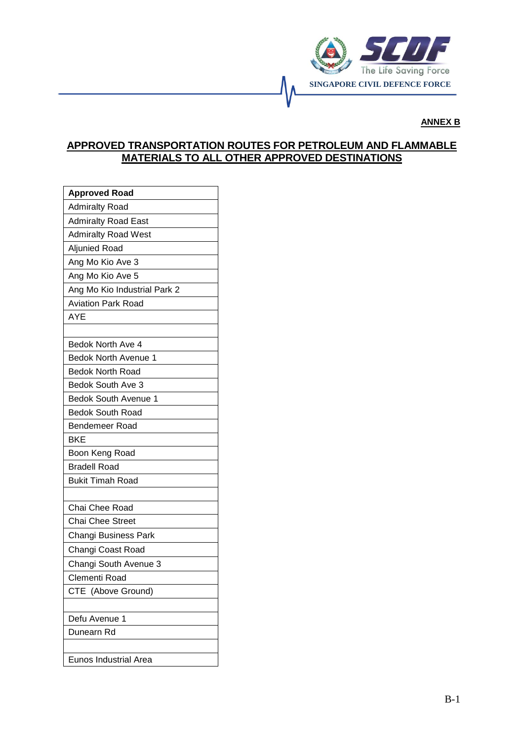

### **ANNEX B**

# **APPROVED TRANSPORTATION ROUTES FOR PETROLEUM AND FLAMMABLE MATERIALS TO ALL OTHER APPROVED DESTINATIONS**

| <b>Approved Road</b>         |
|------------------------------|
| <b>Admiralty Road</b>        |
| <b>Admiralty Road East</b>   |
| <b>Admiralty Road West</b>   |
| Aljunied Road                |
| Ang Mo Kio Ave 3             |
| Ang Mo Kio Ave 5             |
| Ang Mo Kio Industrial Park 2 |
| <b>Aviation Park Road</b>    |
| AYE                          |
|                              |
| Bedok North Ave 4            |
| Bedok North Avenue 1         |
| <b>Bedok North Road</b>      |
| Bedok South Ave 3            |
| <b>Bedok South Avenue 1</b>  |
| <b>Bedok South Road</b>      |
| <b>Bendemeer Road</b>        |
| <b>BKE</b>                   |
| Boon Keng Road               |
| <b>Bradell Road</b>          |
| <b>Bukit Timah Road</b>      |
|                              |
| Chai Chee Road               |
| <b>Chai Chee Street</b>      |
| Changi Business Park         |
| Changi Coast Road            |
| Changi South Avenue 3        |
| Clementi Road                |
| CTE<br>(Above Ground)        |
|                              |
| Defu Avenue 1                |
| Dunearn Rd                   |
|                              |
| <b>Eunos Industrial Area</b> |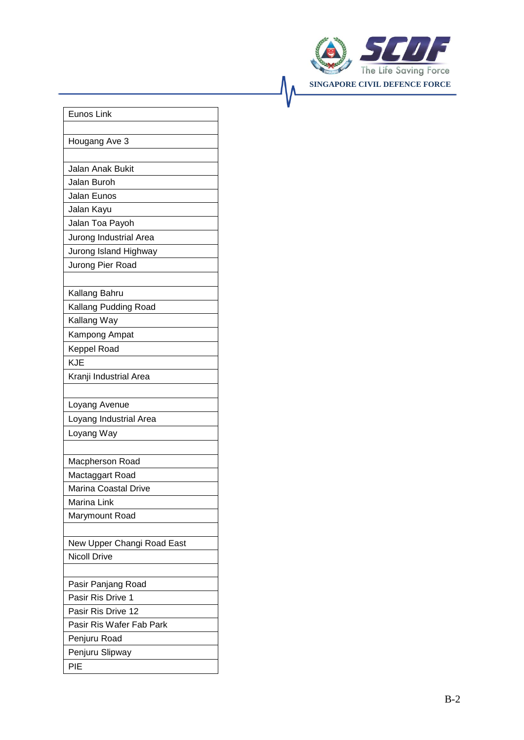

| Eunos Link                  |
|-----------------------------|
|                             |
| Hougang Ave 3               |
|                             |
| <b>Jalan Anak Bukit</b>     |
| Jalan Buroh                 |
| Jalan Eunos                 |
| Jalan Kayu                  |
| Jalan Toa Payoh             |
| Jurong Industrial Area      |
| Jurong Island Highway       |
| Jurong Pier Road            |
|                             |
| Kallang Bahru               |
| Kallang Pudding Road        |
| Kallang Way                 |
| Kampong Ampat               |
| <b>Keppel Road</b>          |
| <b>KJE</b>                  |
| Kranji Industrial Area      |
|                             |
| Loyang Avenue               |
| Loyang Industrial Area      |
| Loyang Way                  |
|                             |
| Macpherson Road             |
| Mactaggart Road             |
| <b>Marina Coastal Drive</b> |
| Marina Link                 |
| Marymount Road              |
|                             |
| New Upper Changi Road East  |
| <b>Nicoll Drive</b>         |
|                             |
| Pasir Panjang Road          |
| Pasir Ris Drive 1           |
| Pasir Ris Drive 12          |
| Pasir Ris Wafer Fab Park    |
| Penjuru Road                |
| Penjuru Slipway             |
| PIE                         |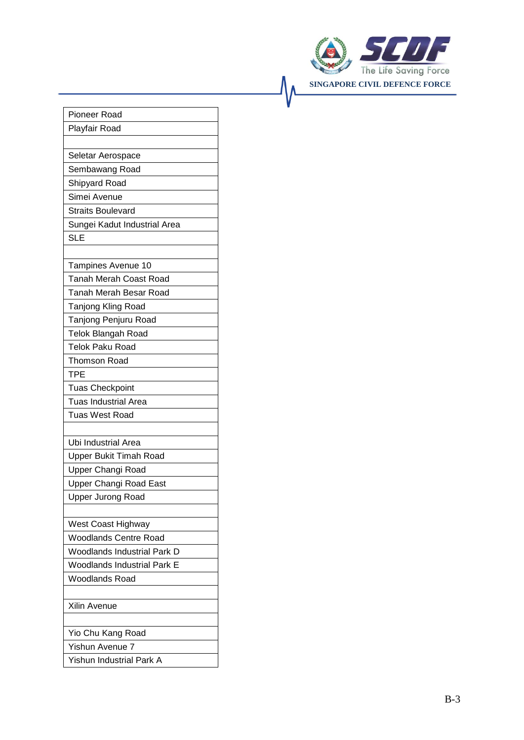

۸۸

| Pioneer Road                       |
|------------------------------------|
| Playfair Road                      |
|                                    |
| Seletar Aerospace                  |
| Sembawang Road                     |
| Shipyard Road                      |
| Simei Avenue                       |
| <b>Straits Boulevard</b>           |
| Sungei Kadut Industrial Area       |
| <b>SLE</b>                         |
|                                    |
| Tampines Avenue 10                 |
| <b>Tanah Merah Coast Road</b>      |
| <b>Tanah Merah Besar Road</b>      |
| <b>Tanjong Kling Road</b>          |
| Tanjong Penjuru Road               |
| <b>Telok Blangah Road</b>          |
| <b>Telok Paku Road</b>             |
| <b>Thomson Road</b>                |
| TPE                                |
| <b>Tuas Checkpoint</b>             |
| <b>Tuas Industrial Area</b>        |
| <b>Tuas West Road</b>              |
|                                    |
| <b>Ubi Industrial Area</b>         |
| <b>Upper Bukit Timah Road</b>      |
| Upper Changi Road                  |
| Upper Changi Road East             |
| Upper Jurong Road                  |
|                                    |
| West Coast Highway                 |
| <b>Woodlands Centre Road</b>       |
| <b>Woodlands Industrial Park D</b> |
| <b>Woodlands Industrial Park E</b> |
| <b>Woodlands Road</b>              |
|                                    |
| Xilin Avenue                       |
|                                    |
| Yio Chu Kang Road                  |
| Yishun Avenue 7                    |
| Yishun Industrial Park A           |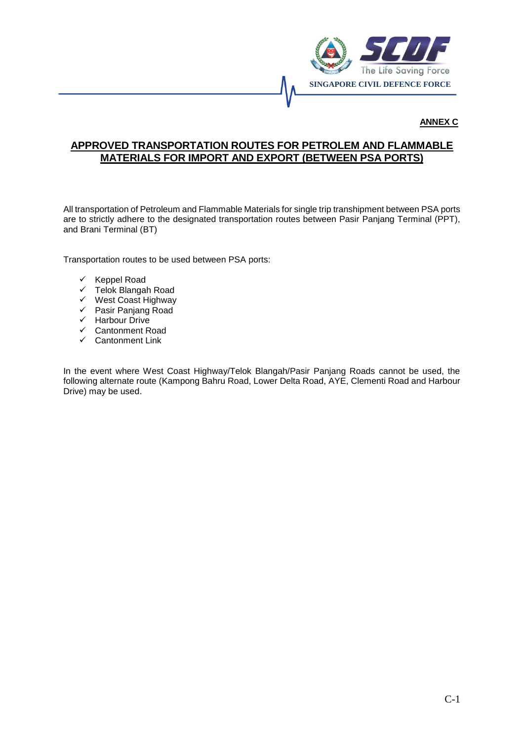

**ANNEX C**

# **APPROVED TRANSPORTATION ROUTES FOR PETROLEM AND FLAMMABLE MATERIALS FOR IMPORT AND EXPORT (BETWEEN PSA PORTS)**

All transportation of Petroleum and Flammable Materials for single trip transhipment between PSA ports are to strictly adhere to the designated transportation routes between Pasir Panjang Terminal (PPT), and Brani Terminal (BT)

Transportation routes to be used between PSA ports:

- $\checkmark$  Keppel Road
- $\checkmark$  Telok Blangah Road
- $\checkmark$  West Coast Highway
- Pasir Panjang Road
- $\checkmark$  Harbour Drive<br> $\checkmark$  Cantonment R
- $\checkmark$  Cantonment Road<br> $\checkmark$  Cantonment Link
- Cantonment Link

In the event where West Coast Highway/Telok Blangah/Pasir Panjang Roads cannot be used, the following alternate route (Kampong Bahru Road, Lower Delta Road, AYE, Clementi Road and Harbour Drive) may be used.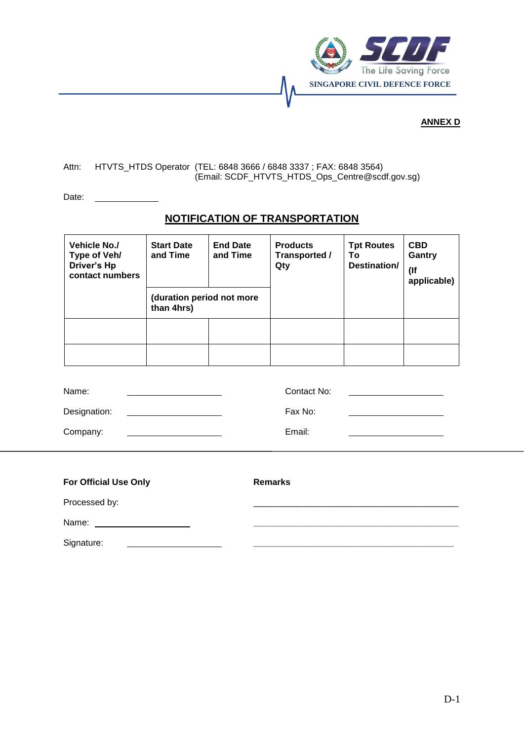

## **ANNEX D**

### Attn: HTVTS\_HTDS Operator (TEL: 6848 3666 / 6848 3337 ; FAX: 6848 3564) (Email: SCDF\_HTVTS\_HTDS\_Ops\_Centre@scdf.gov.sg)

Date:

## **NOTIFICATION OF TRANSPORTATION**

| <b>Vehicle No./</b><br>Type of Veh/<br>Driver's Hp<br>contact numbers | <b>Start Date</b><br>and Time<br>(duration period not more<br>than 4hrs) | <b>End Date</b><br>and Time | <b>Products</b><br>Transported /<br>Qty | <b>Tpt Routes</b><br>То<br>Destination/ | <b>CBD</b><br>Gantry<br>$($ If<br>applicable) |
|-----------------------------------------------------------------------|--------------------------------------------------------------------------|-----------------------------|-----------------------------------------|-----------------------------------------|-----------------------------------------------|
|                                                                       |                                                                          |                             |                                         |                                         |                                               |
|                                                                       |                                                                          |                             |                                         |                                         |                                               |

| Name:        | Contact No: |
|--------------|-------------|
| Designation: | Fax No:     |
| Company:     | Email:      |

| <b>For Official Use Only</b> | <b>Remarks</b> |
|------------------------------|----------------|
| Processed by:                |                |
| Name:                        |                |
| Signature:                   |                |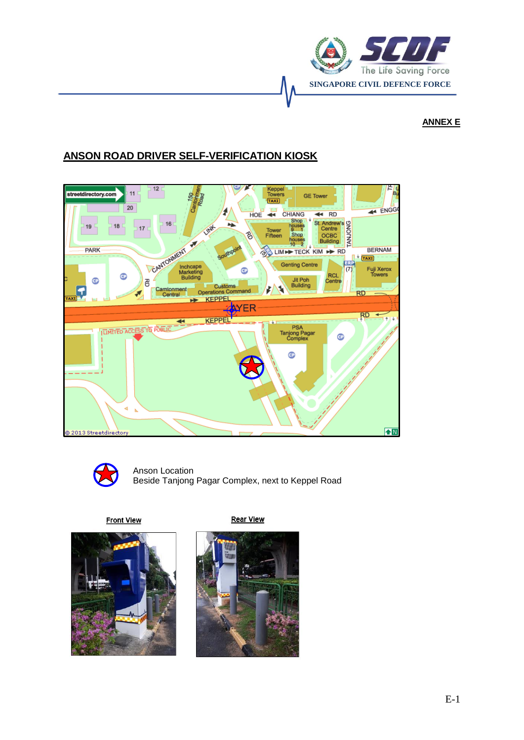

# **ANNEX E**

# **ANSON ROAD DRIVER SELF-VERIFICATION KIOSK**





Anson Location Beside Tanjong Pagar Complex, next to Keppel Road

**Front View** 



**Rear View** 

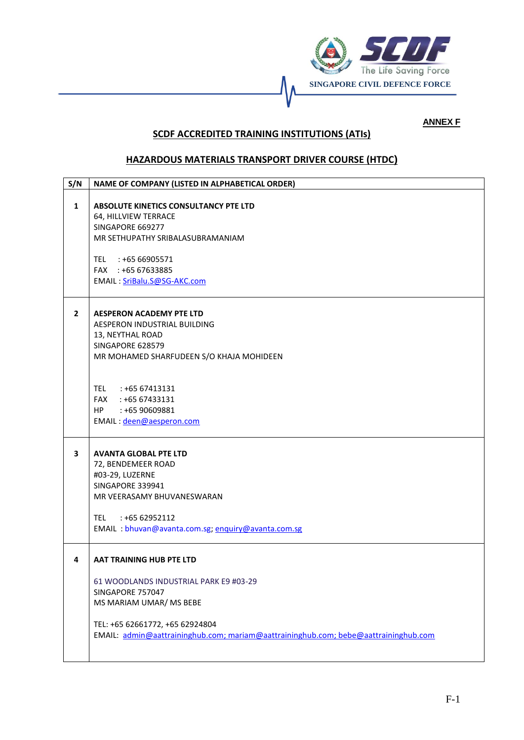

## **ANNEX F**

# **SCDF ACCREDITED TRAINING INSTITUTIONS (ATIs)**

## **HAZARDOUS MATERIALS TRANSPORT DRIVER COURSE (HTDC)**

| S/N            | NAME OF COMPANY (LISTED IN ALPHABETICAL ORDER)                                                                                                                                                                                                           |
|----------------|----------------------------------------------------------------------------------------------------------------------------------------------------------------------------------------------------------------------------------------------------------|
| $\mathbf{1}$   | ABSOLUTE KINETICS CONSULTANCY PTE LTD<br>64, HILLVIEW TERRACE<br>SINGAPORE 669277<br>MR SETHUPATHY SRIBALASUBRAMANIAM<br>TEL : +65 66905571<br>FAX : +65 67633885<br>EMAIL: SriBalu.S@SG-AKC.com                                                         |
| $\overline{2}$ | <b>AESPERON ACADEMY PTE LTD</b><br>AESPERON INDUSTRIAL BUILDING<br>13, NEYTHAL ROAD<br>SINGAPORE 628579<br>MR MOHAMED SHARFUDEEN S/O KHAJA MOHIDEEN<br>TEL : +65 67413131<br>FAX<br>: +65 67433131<br>HP —<br>: +65 90609881<br>EMAIL: deen@aesperon.com |
| 3              | <b>AVANTA GLOBAL PTE LTD</b><br>72, BENDEMEER ROAD<br>#03-29, LUZERNE<br>SINGAPORE 339941<br>MR VEERASAMY BHUVANESWARAN<br><b>TEL</b><br>$: +6562952112$<br>EMAIL: bhuvan@avanta.com.sg; enquiry@avanta.com.sg                                           |
| 4              | AAT TRAINING HUB PTE LTD<br>61 WOODLANDS INDUSTRIAL PARK E9 #03-29<br>SINGAPORE 757047<br>MS MARIAM UMAR/ MS BEBE<br>TEL: +65 62661772, +65 62924804<br>EMAIL: admin@aattraininghub.com; mariam@aattraininghub.com; bebe@aattraininghub.com              |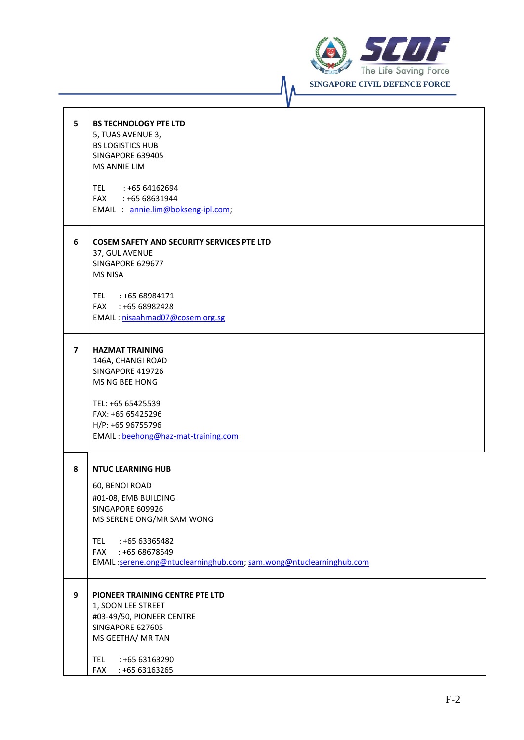

| 5                       | <b>BS TECHNOLOGY PTE LTD</b><br>5, TUAS AVENUE 3,<br><b>BS LOGISTICS HUB</b><br>SINGAPORE 639405<br><b>MS ANNIE LIM</b><br>TEL : +65 64162694<br>FAX : +65 68631944<br>EMAIL : annie.lim@bokseng-ipl.com;                                                 |
|-------------------------|-----------------------------------------------------------------------------------------------------------------------------------------------------------------------------------------------------------------------------------------------------------|
| 6                       | <b>COSEM SAFETY AND SECURITY SERVICES PTE LTD</b><br>37, GUL AVENUE<br>SINGAPORE 629677<br><b>MS NISA</b><br>TEL : +65 68984171<br>FAX : +65 68982428<br>EMAIL: nisaahmad07@cosem.org.sg                                                                  |
| $\overline{\mathbf{z}}$ | <b>HAZMAT TRAINING</b><br>146A, CHANGI ROAD<br>SINGAPORE 419726<br>MS NG BEE HONG<br>TEL: +65 65425539<br>FAX: +65 65425296<br>H/P: +65 96755796<br>EMAIL: beehong@haz-mat-training.com                                                                   |
| 8                       | <b>NTUC LEARNING HUB</b><br>60, BENOI ROAD<br>#01-08, EMB BUILDING<br>SINGAPORE 609926<br>MS SERENE ONG/MR SAM WONG<br><b>TEL</b><br>: +65 63365482<br>: +65 68678549<br><b>FAX</b><br>EMAIL:serene.ong@ntuclearninghub.com; sam.wong@ntuclearninghub.com |
| 9                       | PIONEER TRAINING CENTRE PTE LTD<br>1, SOON LEE STREET<br>#03-49/50, PIONEER CENTRE<br>SINGAPORE 627605<br>MS GEETHA/ MR TAN<br><b>TEL</b><br>: +65 63163290<br>: +65 63163265<br><b>FAX</b>                                                               |

 $\sqrt{\sqrt{2}}$